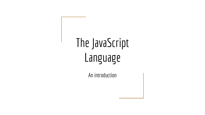# The JavaScript **Language**

An introduction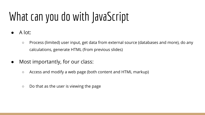# What can you do with JavaScript

- A lot:
	- Process (limited) user input, get data from external source (databases and more), do any calculations, generate HTML (from previous slides)
- Most importantly, for our class:
	- Access and modify a web page (both content and HTML markup)
	- Do that as the user is viewing the page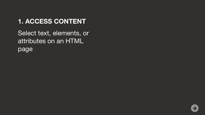Select text, elements, or attributes on an HTML page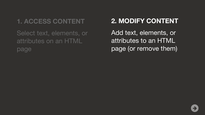Select text, elements, or attributes on an HTML page

#### **2. MODIFY CONTENT**

Add text, elements, or attributes to an HTML page (or remove them)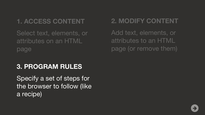Select text, elements, or attributes on an HTML page

#### **2. MODIFY CONTENT**

Add text, elements, or attributes to an HTML page (or remove them)

#### **3. PROGRAM RULES**

Specify a set of steps for the browser to follow (like a recipe)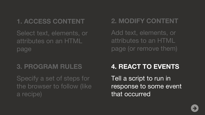Select text, elements, or attributes on an HTML page

#### **3. PROGRAM RULES**

Specify a set of steps for the browser to follow (like a recipe)

#### **2. MODIFY CONTENT**

Add text, elements, or attributes to an HTML page (or remove them)

#### **4. REACT TO EVENTS**

Tell a script to run in response to some event that occurred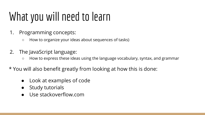### What you will need to learn

- 1. Programming concepts:
	- How to organize your ideas about sequences of tasks)
- 2. The JavaScript language:
	- How to express these ideas using the language vocabulary, syntax, and grammar
- \* You will also benefit greatly from looking at how this is done:
	- Look at examples of code
	- **Study tutorials**
	- Use stackoverflow.com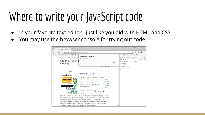#### Where to write your JavaScript code

- In your favorite text editor just like you did with HTML and CSS
- You may use the browser console for trying out code

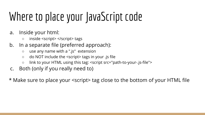### Where to place your JavaScript code

- a. Inside your html:
	- inside <script> </script> tags
- b. In a separate file (preferred approach):
	- use any name with a ".js" extension
	- do NOT include the <script> tags in your .js file
	- link to your HTML using this tag: <script src="path-to-your-.js-file">
- c. Both (only if you really need to)

\* Make sure to place your <script> tag close to the bottom of your HTML file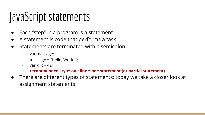#### JavaScript statements

- Each "step" in a program is a statement
- A statement is code that performs a task
- Statements are terminated with a semicolon:
	- var message;
		- message = "Hello, World!";
	- $\circ$  var x;  $x = 42$ ;
	- **○ recommended style: one line = one statement (or partial statement)**
- There are different types of statements; today we take a closer look at assignment statements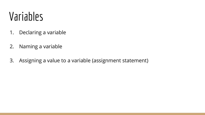#### Variables

- 1. Declaring a variable
- 2. Naming a variable
- 3. Assigning a value to a variable (assignment statement)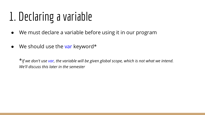#### 1. Declaring a variable

- We must declare a variable before using it in our program
- $\bullet$  We should use the var keyword\*

\**If we don't use var, the variable will be given global scope, which is not what we intend. We'll discuss this later in the semester*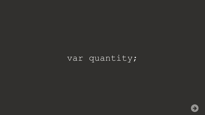#### var quantity;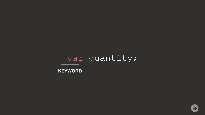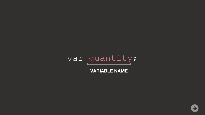var quantity; **VARIABLE NAME**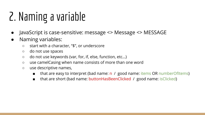### 2. Naming a variable

- JavaScript is case-sensitive: message <> Message <> MESSAGE
- Naming variables:
	- start with a character, "\$", or underscore
	- do not use spaces
	- do not use keywords (var, for, if, else, function, etc…)
	- use camelCasing when name consists of more than one word
	- use descriptive names,
		- that are easy to interpret (bad name:  $n / g$ ood name: items OR numberOfItems)
		- that are short (bad name: buttonHasBeenClicked  $\ell$  good name: isClicked)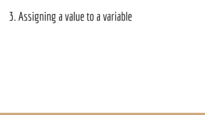#### 3. Assigning a value to a variable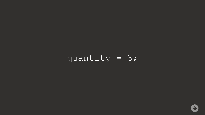#### quantity = 3;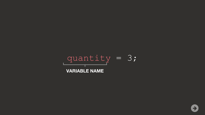quantity = 3; **VARIABLE NAME**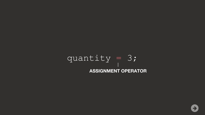#### $quantity = 3;$ **ASSIGNMENT OPERATOR**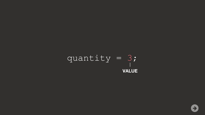$$
quantity = 3;
$$
  
value

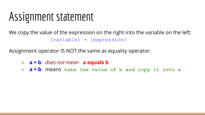#### Assignment statement

We copy the value of the expression on the right into the variable on the left: [variable] = [expression]

Assignment operator IS NOT the same as equality operator:

○ **a = b** *does not mean* **a equals b** ○ **a = b** means **take the value of b and copy it into a**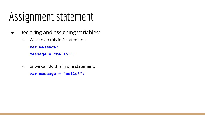#### Assignment statement

- Declaring and assigning variables:
	- We can do this in 2 statements:

```
var message; 
message = "hello!";
```
○ or we can do this in one statement:

```
var message = "hello!";
```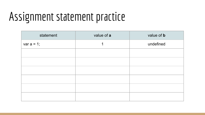#### Assignment statement practice

| statement     | value of a | value of <b>b</b> |
|---------------|------------|-------------------|
| var $a = 1$ ; |            | undefined         |
|               |            |                   |
|               |            |                   |
|               |            |                   |
|               |            |                   |
|               |            |                   |
|               |            |                   |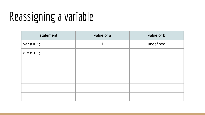| statement     | value of a | value of <b>b</b> |
|---------------|------------|-------------------|
| var $a = 1$ ; | 1          | undefined         |
| $a = a + 1$ ; |            |                   |
|               |            |                   |
|               |            |                   |
|               |            |                   |
|               |            |                   |
|               |            |                   |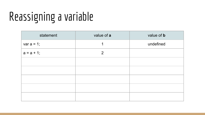| statement     | value of a | value of <b>b</b> |
|---------------|------------|-------------------|
| var $a = 1$ ; | 1          | undefined         |
| $a = a + 1$ ; | 2          |                   |
|               |            |                   |
|               |            |                   |
|               |            |                   |
|               |            |                   |
|               |            |                   |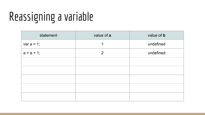| statement     | value of a     | value of <b>b</b> |
|---------------|----------------|-------------------|
| var $a = 1$ ; | 1              | undefined         |
| $a = a + 1$ ; | $\overline{2}$ | undefined         |
|               |                |                   |
|               |                |                   |
|               |                |                   |
|               |                |                   |
|               |                |                   |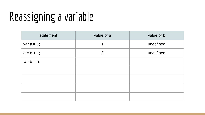| statement     | value of a | value of <b>b</b> |
|---------------|------------|-------------------|
| var $a = 1$ ; |            | undefined         |
| $a = a + 1$ ; | 2          | undefined         |
| var $b = a$ ; |            |                   |
|               |            |                   |
|               |            |                   |
|               |            |                   |
|               |            |                   |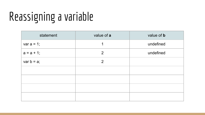| statement     | value of a     | value of <b>b</b> |
|---------------|----------------|-------------------|
| var $a = 1$ ; | 1              | undefined         |
| $a = a + 1$ ; | 2              | undefined         |
| var $b = a$ ; | $\overline{2}$ |                   |
|               |                |                   |
|               |                |                   |
|               |                |                   |
|               |                |                   |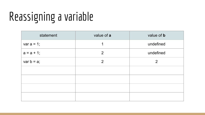| statement     | value of a     | value of <b>b</b> |
|---------------|----------------|-------------------|
| var $a = 1$ ; |                | undefined         |
| $a = a + 1$ ; | 2              | undefined         |
| var $b = a$ ; | $\overline{2}$ | $\overline{2}$    |
|               |                |                   |
|               |                |                   |
|               |                |                   |
|               |                |                   |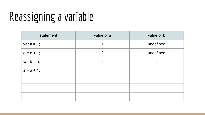| statement     | value of a     | value of <b>b</b> |
|---------------|----------------|-------------------|
| var $a = 1$ ; | 1              | undefined         |
| $a = a + 1$ ; | 2              | undefined         |
| var $b = a$ ; | $\overline{2}$ | $\overline{2}$    |
| $a = a + 1$ ; |                |                   |
|               |                |                   |
|               |                |                   |
|               |                |                   |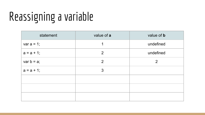| statement     | value of a     | value of <b>b</b> |
|---------------|----------------|-------------------|
| var $a = 1$ ; | 1              | undefined         |
| $a = a + 1$ ; | $\overline{2}$ | undefined         |
| var $b = a$ ; | $\overline{2}$ | $\overline{2}$    |
| $a = a + 1$ ; | 3              |                   |
|               |                |                   |
|               |                |                   |
|               |                |                   |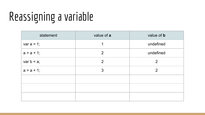| statement     | value of a     | value of <b>b</b> |
|---------------|----------------|-------------------|
| var $a = 1$ ; | 1              | undefined         |
| $a = a + 1$ ; | 2              | undefined         |
| var $b = a$ ; | $\overline{2}$ | $\overline{2}$    |
| $a = a + 1$ ; | 3              | $\overline{2}$    |
|               |                |                   |
|               |                |                   |
|               |                |                   |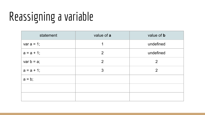| statement     | value of a     | value of <b>b</b> |
|---------------|----------------|-------------------|
| var $a = 1$ ; | 1              | undefined         |
| $a = a + 1$ ; | 2              | undefined         |
| var $b = a$ ; | $\overline{2}$ | $\overline{2}$    |
| $a = a + 1$ ; | 3              | $\overline{2}$    |
| $a = b$ ;     |                |                   |
|               |                |                   |
|               |                |                   |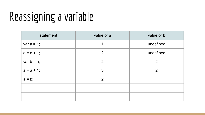| statement     | value of a     | value of <b>b</b> |
|---------------|----------------|-------------------|
| var $a = 1$ ; | 1              | undefined         |
| $a = a + 1$ ; | 2              | undefined         |
| var $b = a$ ; | $\overline{2}$ | $\overline{2}$    |
| $a = a + 1$ ; | 3              | $\overline{2}$    |
| $a = b$ ;     | 2              |                   |
|               |                |                   |
|               |                |                   |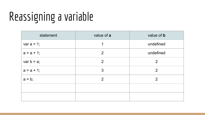| statement     | value of a     | value of <b>b</b> |
|---------------|----------------|-------------------|
| var $a = 1$ ; | 1              | undefined         |
| $a = a + 1$ ; | 2              | undefined         |
| var $b = a$ ; | $\overline{2}$ | $\overline{2}$    |
| $a = a + 1$ ; | 3              | $\overline{2}$    |
| $a = b$ ;     | 2              | 2                 |
|               |                |                   |
|               |                |                   |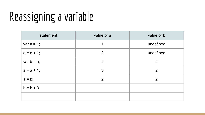| statement     | value of a | value of <b>b</b> |
|---------------|------------|-------------------|
| var $a = 1$ ; | 1          | undefined         |
| $a = a + 1$ ; | 2          | undefined         |
| var $b = a$ ; | 2          | $\overline{2}$    |
| $a = a + 1$ ; | 3          | $\overline{2}$    |
| $a = b$ ;     | 2          | $\overline{2}$    |
| $b = b + 3$   |            |                   |
|               |            |                   |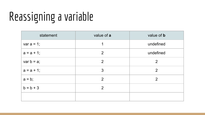| statement     | value of a     | value of <b>b</b> |
|---------------|----------------|-------------------|
| var $a = 1$ ; | 1              | undefined         |
| $a = a + 1$ ; | 2              | undefined         |
| var $b = a$ ; | 2              | $\overline{2}$    |
| $a = a + 1$ ; | 3              | $\overline{2}$    |
| $a = b$ ;     | 2              | 2                 |
| $b = b + 3$   | $\overline{2}$ |                   |
|               |                |                   |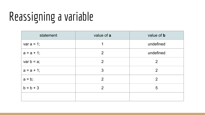| statement     | value of a     | value of <b>b</b> |
|---------------|----------------|-------------------|
| var $a = 1$ ; | 1              | undefined         |
| $a = a + 1$ ; | 2              | undefined         |
| var $b = a$ ; | 2              | $\overline{2}$    |
| $a = a + 1$ ; | 3              | 2                 |
| $a = b$ ;     | 2              | 2                 |
| $b = b + 3$   | $\overline{2}$ | 5                 |
|               |                |                   |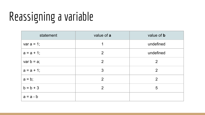| statement     | value of a     | value of <b>b</b> |
|---------------|----------------|-------------------|
| var $a = 1$ ; | 1              | undefined         |
| $a = a + 1$ ; | 2              | undefined         |
| var $b = a$ ; | $\overline{2}$ | $\overline{2}$    |
| $a = a + 1$ ; | 3              | 2                 |
| $a = b$ ;     | 2              | 2                 |
| $b = b + 3$   | $\overline{2}$ | 5                 |
| $a = a - b$   |                |                   |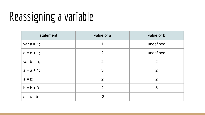| statement     | value of a | value of <b>b</b> |
|---------------|------------|-------------------|
| var $a = 1$ ; | 1          | undefined         |
| $a = a + 1$ ; | 2          | undefined         |
| var $b = a$ ; | 2          | $\overline{2}$    |
| $a = a + 1$ ; | 3          | $\overline{2}$    |
| $a = b$ ;     | 2          | $\overline{2}$    |
| $b = b + 3$   | 2          | 5                 |
| $a = a - b$   | $-3$       |                   |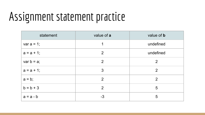#### Assignment statement practice

| statement     | value of a     | value of <b>b</b> |
|---------------|----------------|-------------------|
| var $a = 1$ ; | 1              | undefined         |
| $a = a + 1$ ; | 2              | undefined         |
| var $b = a$ ; | 2              | 2                 |
| $a = a + 1$ ; | 3              | 2                 |
| $a = b$ ;     | 2              | 2                 |
| $b = b + 3$   | $\overline{2}$ | 5                 |
| $a = a - b$   | $-3$           | 5                 |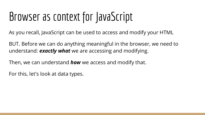#### Browser as context for JavaScript

As you recall, JavaScript can be used to access and modify your HTML

BUT. Before we can do anything meaningful in the browser, we need to understand: *exactly what* we are accessing and modifying.

Then, we can understand *how* we access and modify that.

For this, let's look at data types.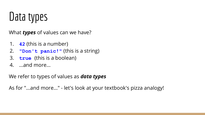#### Data types

What *types* of values can we have?

- 1. **42** (this is a number)
- 2. **"Don't panic!"** (this is a string)
- 3. **true** (this is a boolean)
- 4. ...and more...

We refer to types of values as *data types*

As for "...and more..." - let's look at your textbook's pizza analogy!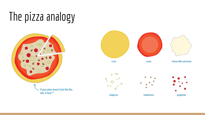### The pizza analogy



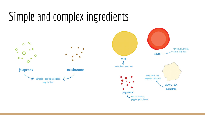#### Simple and complex ingredients

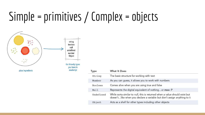#### Simple = primitives / Complex = objects



| Type      | <b>What It Does</b>                                                                                                                                     |
|-----------|---------------------------------------------------------------------------------------------------------------------------------------------------------|
| String    | The basic structure for working with text                                                                                                               |
| Number    | As you can guess, it allows you to work with numbers                                                                                                    |
| Boolean   | Comes alive when you are using true and false                                                                                                           |
| Null      | Represents the digital equivalent of nothingor moo :P                                                                                                   |
| Undefined | While sorta similar to null, this is returned when a value should exist but<br>doesn't like when you declare a variable but don't assign anything to it |
| Object    | Acts as a shell for other types including other objects                                                                                                 |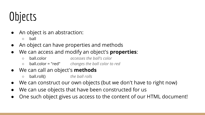### **Objects**

- An object is an abstraction:
	- ball
- An object can have properties and methods
- We can access and modify an object's **properties**:
	- ball.color *accesses the ball's color*
	- ball.color = "red" *changes the ball color to red*

#### ● We can call an object's **methods**

- ball.roll() *the ball rolls*
- We can construct our own objects (but we don't have to right now)
- We can use objects that have been constructed for us
- One such object gives us access to the content of our HTML document!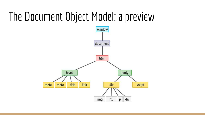#### The Document Object Model: a preview